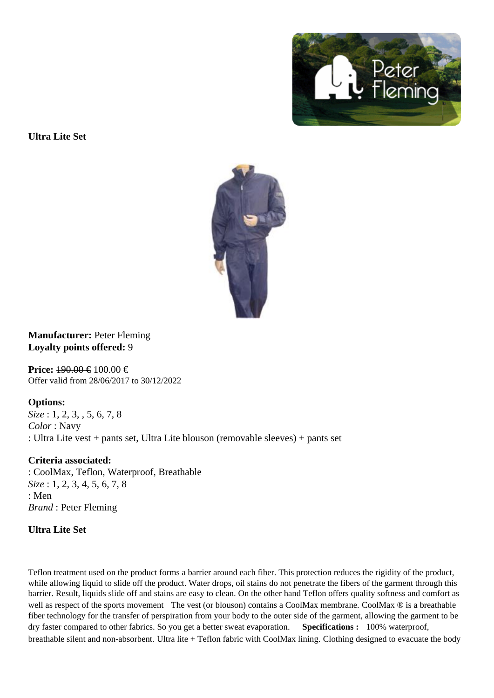Ultra Lite Set

Manufacturer: Peter Fleming Loyalty points offered: 9

Price: 490.00 €100.00 € Offer valid from 28/06/2017 to 30/12/2022

Options: Size: 1, 2, 3, , 5, 6, 7, 8 Color : Navy : Ultra Lite vest + pants set, Ultra Lite blouson (removable sleeves) + pants set

Criteria associated: : CoolMax, Teflon, Waterproof, Breathable Size: 1, 2, 3, 4, 5, 6, 7, 8 : Men Brand : Peter Fleming

Ultra Lite Set

Teflon treatment used on the product forms a barrier around each fiber. This protection reduces the rigidity of the product, while allowing liquid to slide off the product. Water drops, oil stains do not penetrate the fibers of the garment through this barrier. Result, liquids slide off and stains are easy to clean. On the other hand Teflon offers quality softness and comfort well as respect of the sports movementhe vest (or blouson) contains a CoolMax membrane. Max  $\otimes$  is a breathable fiber technology for the transfer of perspiration from your body to the outer side of the garment, allowing the garment to b dry faster compared to other fabrics. So you get a better sweat evapora<sup>gonecifications : 100% waterproof,</sup> breathable silent and non-absorbelltra lite + Teflon fabric with CoolMax liningClothing designed to evacuate the body